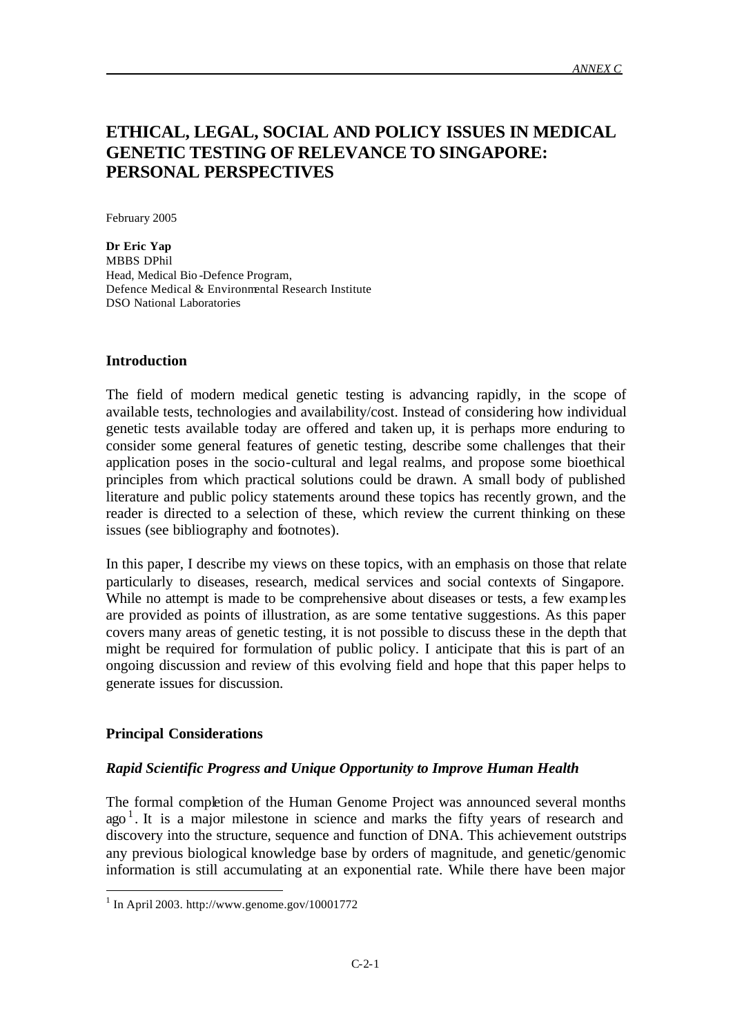# **ETHICAL, LEGAL, SOCIAL AND POLICY ISSUES IN MEDICAL GENETIC TESTING OF RELEVANCE TO SINGAPORE: PERSONAL PERSPECTIVES**

February 2005

**Dr Eric Yap** MBBS DPhil Head, Medical Bio -Defence Program, Defence Medical & Environmental Research Institute DSO National Laboratories

#### **Introduction**

The field of modern medical genetic testing is advancing rapidly, in the scope of available tests, technologies and availability/cost. Instead of considering how individual genetic tests available today are offered and taken up, it is perhaps more enduring to consider some general features of genetic testing, describe some challenges that their application poses in the socio-cultural and legal realms, and propose some bioethical principles from which practical solutions could be drawn. A small body of published literature and public policy statements around these topics has recently grown, and the reader is directed to a selection of these, which review the current thinking on these issues (see bibliography and footnotes).

In this paper, I describe my views on these topics, with an emphasis on those that relate particularly to diseases, research, medical services and social contexts of Singapore. While no attempt is made to be comprehensive about diseases or tests, a few examples are provided as points of illustration, as are some tentative suggestions. As this paper covers many areas of genetic testing, it is not possible to discuss these in the depth that might be required for formulation of public policy. I anticipate that this is part of an ongoing discussion and review of this evolving field and hope that this paper helps to generate issues for discussion.

# **Principal Considerations**

l

#### *Rapid Scientific Progress and Unique Opportunity to Improve Human Health*

The formal completion of the Human Genome Project was announced several months  $ago<sup>1</sup>$ . It is a major milestone in science and marks the fifty years of research and discovery into the structure, sequence and function of DNA. This achievement outstrips any previous biological knowledge base by orders of magnitude, and genetic/genomic information is still accumulating at an exponential rate. While there have been major

 $1$  In April 2003. http://www.genome.gov/10001772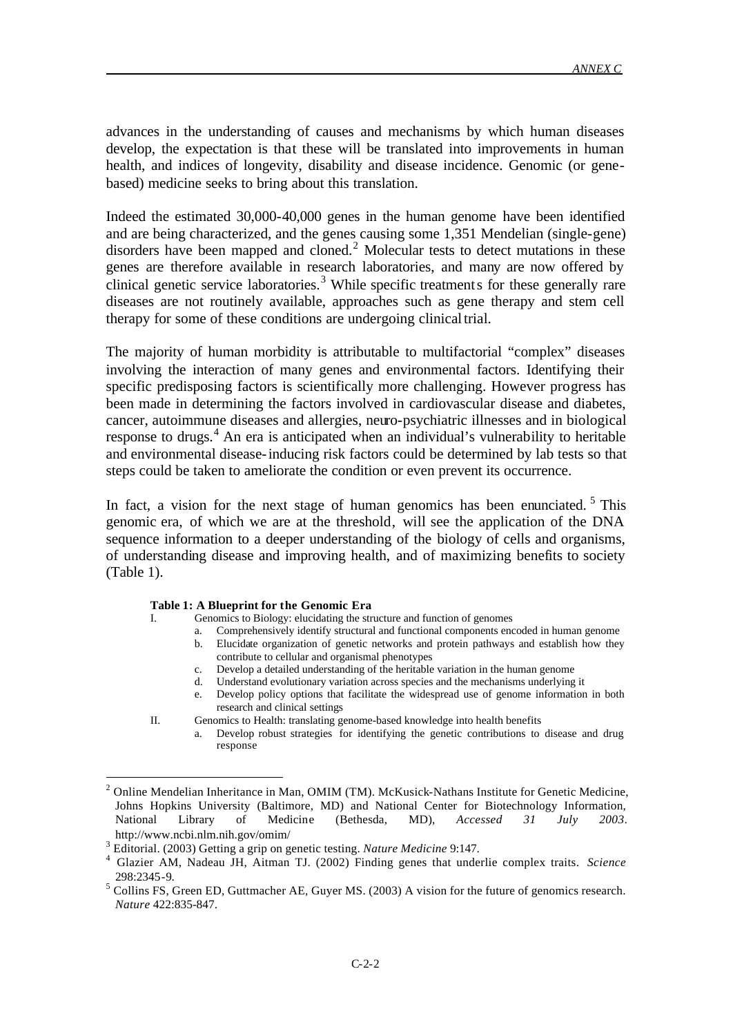advances in the understanding of causes and mechanisms by which human diseases develop, the expectation is that these will be translated into improvements in human health, and indices of longevity, disability and disease incidence. Genomic (or genebased) medicine seeks to bring about this translation.

Indeed the estimated 30,000-40,000 genes in the human genome have been identified and are being characterized, and the genes causing some 1,351 Mendelian (single-gene) disorders have been mapped and cloned.<sup>2</sup> Molecular tests to detect mutations in these genes are therefore available in research laboratories, and many are now offered by clinical genetic service laboratories.<sup>3</sup> While specific treatments for these generally rare diseases are not routinely available, approaches such as gene therapy and stem cell therapy for some of these conditions are undergoing clinical trial.

The majority of human morbidity is attributable to multifactorial "complex" diseases involving the interaction of many genes and environmental factors. Identifying their specific predisposing factors is scientifically more challenging. However progress has been made in determining the factors involved in cardiovascular disease and diabetes, cancer, autoimmune diseases and allergies, neuro-psychiatric illnesses and in biological response to drugs.<sup>4</sup> An era is anticipated when an individual's vulnerability to heritable and environmental disease-inducing risk factors could be determined by lab tests so that steps could be taken to ameliorate the condition or even prevent its occurrence.

In fact, a vision for the next stage of human genomics has been enunciated.<sup>5</sup> This genomic era, of which we are at the threshold, will see the application of the DNA sequence information to a deeper understanding of the biology of cells and organisms, of understanding disease and improving health, and of maximizing benefits to society (Table 1).

#### **Table 1: A Blueprint for the Genomic Era**

- Genomics to Biology: elucidating the structure and function of genomes
- Comprehensively identify structural and functional components encoded in human genome b. Elucidate organization of genetic networks and protein pathways and establish how they contribute to cellular and organismal phenotypes
- c. Develop a detailed understanding of the heritable variation in the human genome
- Understand evolutionary variation across species and the mechanisms underlying it
- e. Develop policy options that facilitate the widespread use of genome information in both research and clinical settings

l

II. Genomics to Health: translating genome-based knowledge into health benefits a. Develop robust strategies for identifying the genetic contributions to disease and drug response

<sup>&</sup>lt;sup>2</sup> Online Mendelian Inheritance in Man, OMIM (TM). McKusick-Nathans Institute for Genetic Medicine, Johns Hopkins University (Baltimore, MD) and National Center for Biotechnology Information, National Library of Medicine (Bethesda, MD), *Accessed 31 July 2003*. http://www.ncbi.nlm.nih.gov/omim/

<sup>3</sup> Editorial. (2003) Getting a grip on genetic testing. *Nature Medicine* 9:147.

<sup>4</sup> Glazier AM, Nadeau JH, Aitman TJ. (2002) Finding genes that underlie complex traits. *Science* 298:2345-9.

 $<sup>5</sup>$  Collins FS, Green ED, Guttmacher AE, Guyer MS. (2003) A vision for the future of genomics research.</sup> *Nature* 422:835-847.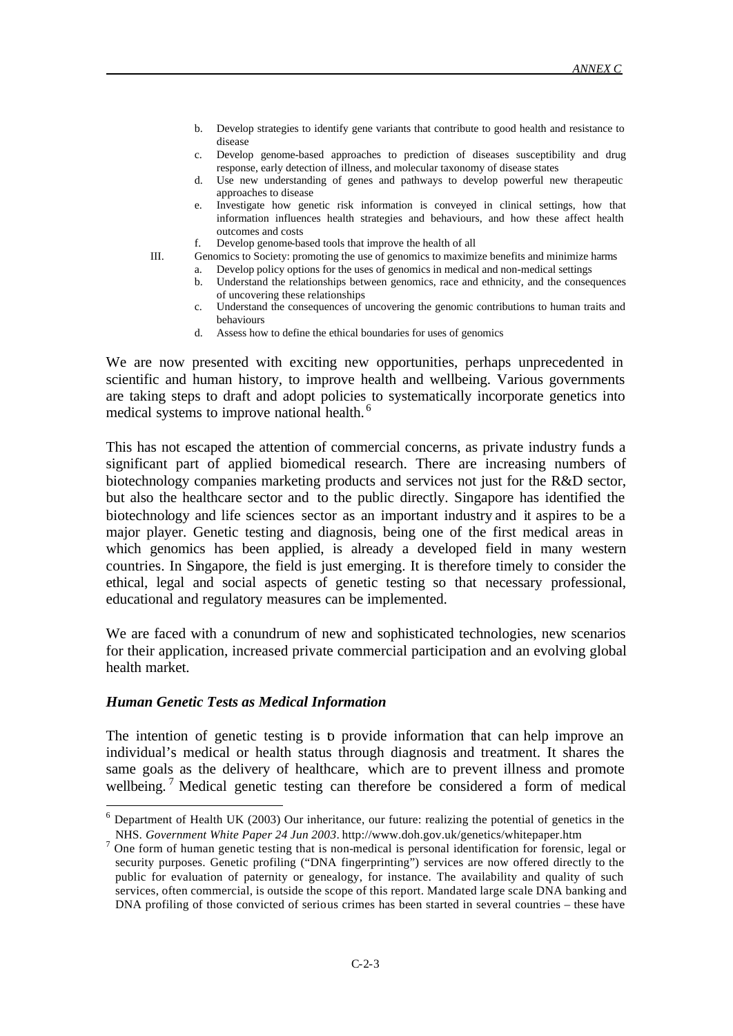- b. Develop strategies to identify gene variants that contribute to good health and resistance to disease
- c. Develop genome-based approaches to prediction of diseases susceptibility and drug response, early detection of illness, and molecular taxonomy of disease states
- d. Use new understanding of genes and pathways to develop powerful new therapeutic approaches to disease
- e. Investigate how genetic risk information is conveyed in clinical settings, how that information influences health strategies and behaviours, and how these affect health outcomes and costs
- f. Develop genome-based tools that improve the health of all

l

- III. Genomics to Society: promoting the use of genomics to maximize benefits and minimize harms a. Develop policy options for the uses of genomics in medical and non-medical settings
	- b. Understand the relationships between genomics, race and ethnicity, and the consequences of uncovering these relationships
	- Understand the consequences of uncovering the genomic contributions to human traits and behaviours
	- d. Assess how to define the ethical boundaries for uses of genomics

We are now presented with exciting new opportunities, perhaps unprecedented in scientific and human history, to improve health and wellbeing. Various governments are taking steps to draft and adopt policies to systematically incorporate genetics into medical systems to improve national health. <sup>6</sup>

This has not escaped the attention of commercial concerns, as private industry funds a significant part of applied biomedical research. There are increasing numbers of biotechnology companies marketing products and services not just for the R&D sector, but also the healthcare sector and to the public directly. Singapore has identified the biotechnology and life sciences sector as an important industry and it aspires to be a major player. Genetic testing and diagnosis, being one of the first medical areas in which genomics has been applied, is already a developed field in many western countries. In Singapore, the field is just emerging. It is therefore timely to consider the ethical, legal and social aspects of genetic testing so that necessary professional, educational and regulatory measures can be implemented.

We are faced with a conundrum of new and sophisticated technologies, new scenarios for their application, increased private commercial participation and an evolving global health market.

#### *Human Genetic Tests as Medical Information*

The intention of genetic testing is to provide information that can help improve an individual's medical or health status through diagnosis and treatment. It shares the same goals as the delivery of healthcare, which are to prevent illness and promote wellbeing.<sup>7</sup> Medical genetic testing can therefore be considered a form of medical

 $6$  Department of Health UK (2003) Our inheritance, our future: realizing the potential of genetics in the NHS. *Government White Paper 24 Jun 2003*. http://www.doh.gov.uk/genetics/whitepaper.htm

<sup>&</sup>lt;sup>7</sup> One form of human genetic testing that is non-medical is personal identification for forensic, legal or security purposes. Genetic profiling ("DNA fingerprinting") services are now offered directly to the public for evaluation of paternity or genealogy, for instance. The availability and quality of such services, often commercial, is outside the scope of this report. Mandated large scale DNA banking and DNA profiling of those convicted of serious crimes has been started in several countries – these have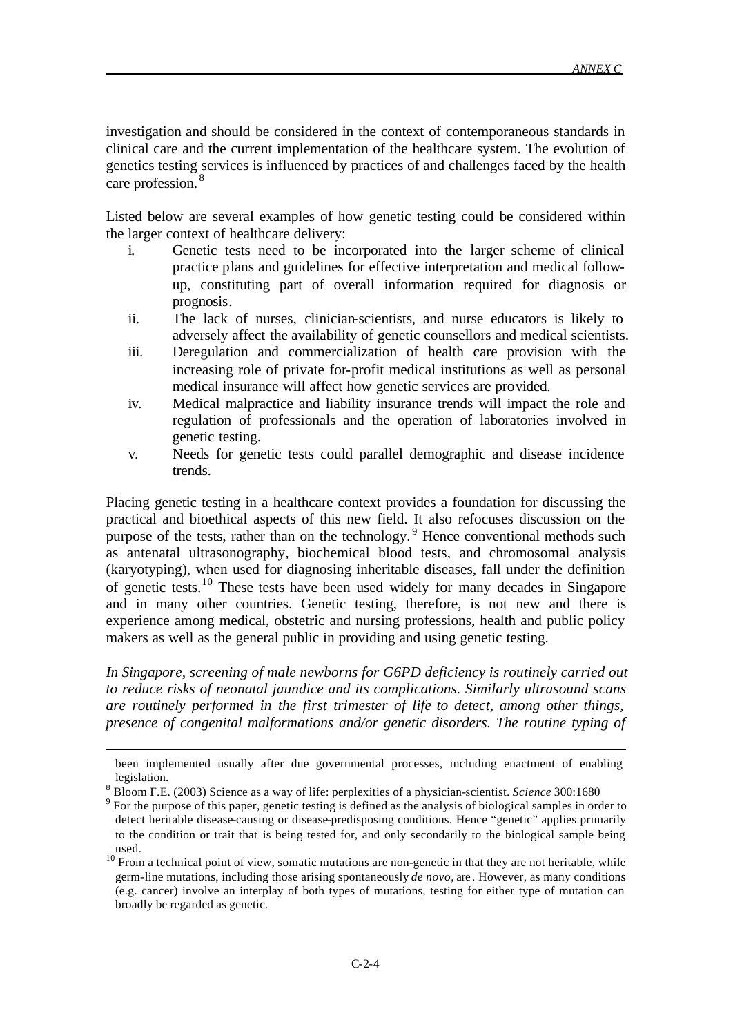investigation and should be considered in the context of contemporaneous standards in clinical care and the current implementation of the healthcare system. The evolution of genetics testing services is influenced by practices of and challenges faced by the health care profession. <sup>8</sup>

Listed below are several examples of how genetic testing could be considered within the larger context of healthcare delivery:

- i. Genetic tests need to be incorporated into the larger scheme of clinical practice plans and guidelines for effective interpretation and medical followup, constituting part of overall information required for diagnosis or prognosis.
- ii. The lack of nurses, clinician-scientists, and nurse educators is likely to adversely affect the availability of genetic counsellors and medical scientists.
- iii. Deregulation and commercialization of health care provision with the increasing role of private for-profit medical institutions as well as personal medical insurance will affect how genetic services are provided.
- iv. Medical malpractice and liability insurance trends will impact the role and regulation of professionals and the operation of laboratories involved in genetic testing.
- v. Needs for genetic tests could parallel demographic and disease incidence trends.

Placing genetic testing in a healthcare context provides a foundation for discussing the practical and bioethical aspects of this new field. It also refocuses discussion on the purpose of the tests, rather than on the technology.<sup>9</sup> Hence conventional methods such as antenatal ultrasonography, biochemical blood tests, and chromosomal analysis (karyotyping), when used for diagnosing inheritable diseases, fall under the definition of genetic tests.<sup>10</sup> These tests have been used widely for many decades in Singapore and in many other countries. Genetic testing, therefore, is not new and there is experience among medical, obstetric and nursing professions, health and public policy makers as well as the general public in providing and using genetic testing.

*In Singapore, screening of male newborns for G6PD deficiency is routinely carried out to reduce risks of neonatal jaundice and its complications. Similarly ultrasound scans are routinely performed in the first trimester of life to detect, among other things, presence of congenital malformations and/or genetic disorders. The routine typing of* 

been implemented usually after due governmental processes, including enactment of enabling legislation.

<sup>&</sup>lt;sup>8</sup> Bloom F.E. (2003) Science as a way of life: perplexities of a physician-scientist. *Science* 300:1680

For the purpose of this paper, genetic testing is defined as the analysis of biological samples in order to detect heritable disease-causing or disease-predisposing conditions. Hence "genetic" applies primarily to the condition or trait that is being tested for, and only secondarily to the biological sample being used.

 $10$  From a technical point of view, somatic mutations are non-genetic in that they are not heritable, while germ-line mutations, including those arising spontaneously *de novo*, are . However, as many conditions (e.g. cancer) involve an interplay of both types of mutations, testing for either type of mutation can broadly be regarded as genetic.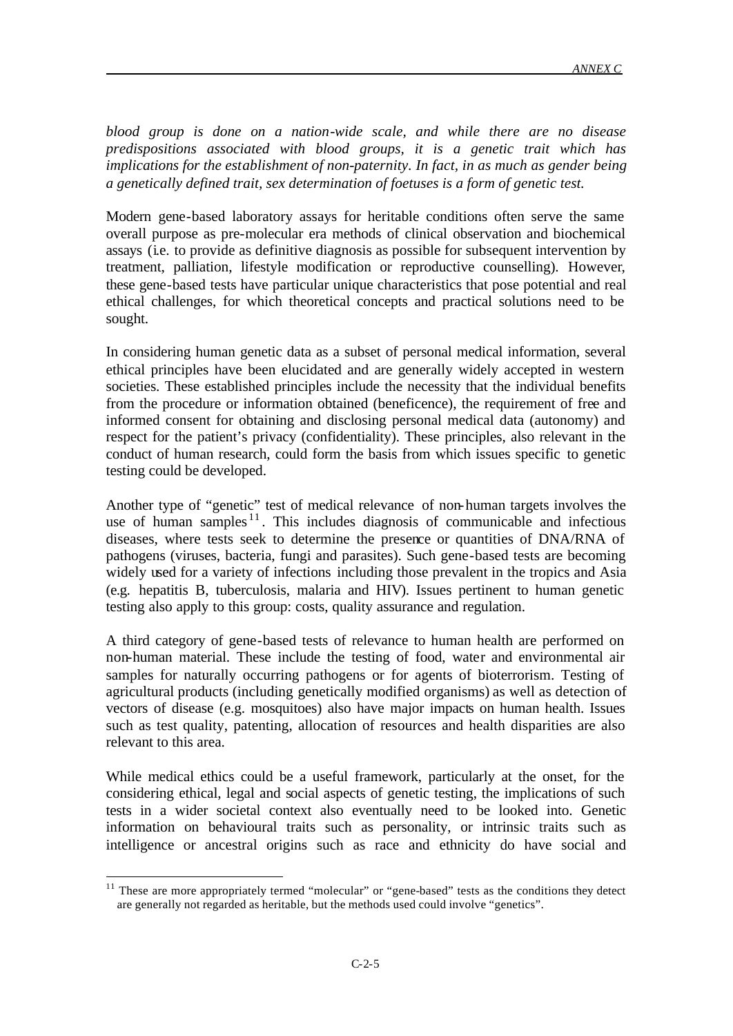*blood group is done on a nation-wide scale, and while there are no disease predispositions associated with blood groups, it is a genetic trait which has implications for the establishment of non-paternity. In fact, in as much as gender being a genetically defined trait, sex determination of foetuses is a form of genetic test.*

Modern gene-based laboratory assays for heritable conditions often serve the same overall purpose as pre-molecular era methods of clinical observation and biochemical assays (i.e. to provide as definitive diagnosis as possible for subsequent intervention by treatment, palliation, lifestyle modification or reproductive counselling). However, these gene-based tests have particular unique characteristics that pose potential and real ethical challenges, for which theoretical concepts and practical solutions need to be sought.

In considering human genetic data as a subset of personal medical information, several ethical principles have been elucidated and are generally widely accepted in western societies. These established principles include the necessity that the individual benefits from the procedure or information obtained (beneficence), the requirement of free and informed consent for obtaining and disclosing personal medical data (autonomy) and respect for the patient's privacy (confidentiality). These principles, also relevant in the conduct of human research, could form the basis from which issues specific to genetic testing could be developed.

Another type of "genetic" test of medical relevance of non-human targets involves the use of human samples  $11$ . This includes diagnosis of communicable and infectious diseases, where tests seek to determine the presence or quantities of DNA/RNA of pathogens (viruses, bacteria, fungi and parasites). Such gene-based tests are becoming widely used for a variety of infections including those prevalent in the tropics and Asia (e.g. hepatitis B, tuberculosis, malaria and HIV). Issues pertinent to human genetic testing also apply to this group: costs, quality assurance and regulation.

A third category of gene-based tests of relevance to human health are performed on non-human material. These include the testing of food, water and environmental air samples for naturally occurring pathogens or for agents of bioterrorism. Testing of agricultural products (including genetically modified organisms) as well as detection of vectors of disease (e.g. mosquitoes) also have major impacts on human health. Issues such as test quality, patenting, allocation of resources and health disparities are also relevant to this area.

While medical ethics could be a useful framework, particularly at the onset, for the considering ethical, legal and social aspects of genetic testing, the implications of such tests in a wider societal context also eventually need to be looked into. Genetic information on behavioural traits such as personality, or intrinsic traits such as intelligence or ancestral origins such as race and ethnicity do have social and

 $11$  These are more appropriately termed "molecular" or "gene-based" tests as the conditions they detect are generally not regarded as heritable, but the methods used could involve "genetics".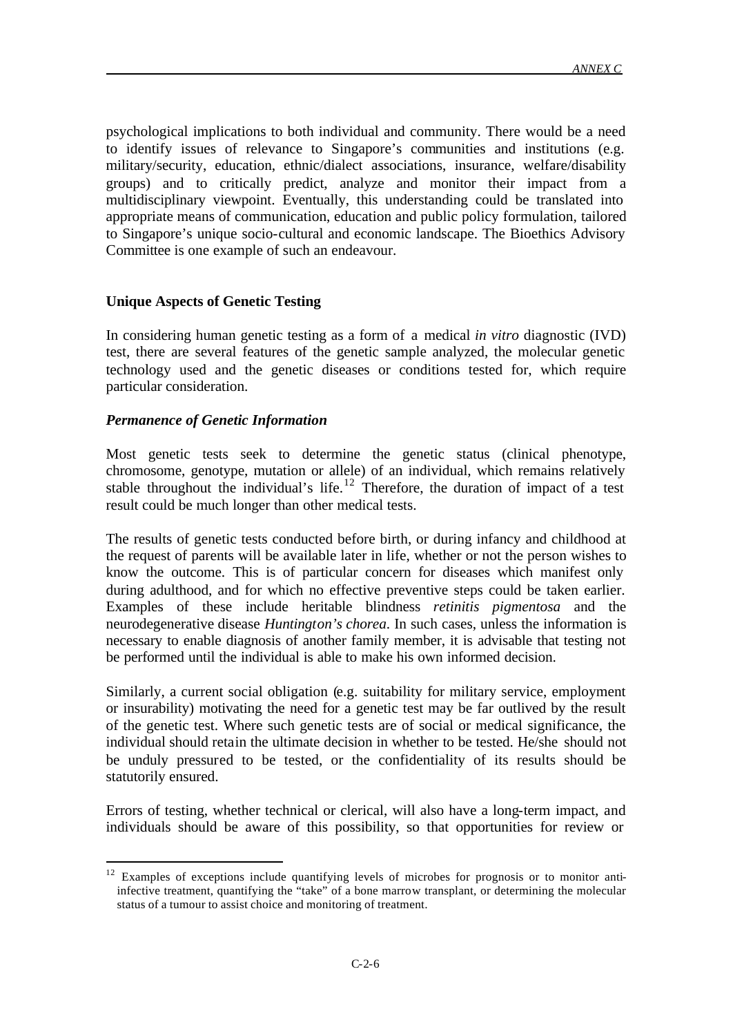psychological implications to both individual and community. There would be a need to identify issues of relevance to Singapore's communities and institutions (e.g. military/security, education, ethnic/dialect associations, insurance, welfare/disability groups) and to critically predict, analyze and monitor their impact from a multidisciplinary viewpoint. Eventually, this understanding could be translated into appropriate means of communication, education and public policy formulation, tailored to Singapore's unique socio-cultural and economic landscape. The Bioethics Advisory Committee is one example of such an endeavour.

# **Unique Aspects of Genetic Testing**

In considering human genetic testing as a form of a medical *in vitro* diagnostic (IVD) test, there are several features of the genetic sample analyzed, the molecular genetic technology used and the genetic diseases or conditions tested for, which require particular consideration.

# *Permanence of Genetic Information*

l

Most genetic tests seek to determine the genetic status (clinical phenotype, chromosome, genotype, mutation or allele) of an individual, which remains relatively stable throughout the individual's life.<sup>12</sup> Therefore, the duration of impact of a test result could be much longer than other medical tests.

The results of genetic tests conducted before birth, or during infancy and childhood at the request of parents will be available later in life, whether or not the person wishes to know the outcome. This is of particular concern for diseases which manifest only during adulthood, and for which no effective preventive steps could be taken earlier. Examples of these include heritable blindness *retinitis pigmentosa* and the neurodegenerative disease *Huntington's chorea*. In such cases, unless the information is necessary to enable diagnosis of another family member, it is advisable that testing not be performed until the individual is able to make his own informed decision.

Similarly, a current social obligation (e.g. suitability for military service, employment or insurability) motivating the need for a genetic test may be far outlived by the result of the genetic test. Where such genetic tests are of social or medical significance, the individual should retain the ultimate decision in whether to be tested. He/she should not be unduly pressured to be tested, or the confidentiality of its results should be statutorily ensured.

Errors of testing, whether technical or clerical, will also have a long-term impact, and individuals should be aware of this possibility, so that opportunities for review or

<sup>&</sup>lt;sup>12</sup> Examples of exceptions include quantifying levels of microbes for prognosis or to monitor antiinfective treatment, quantifying the "take" of a bone marrow transplant, or determining the molecular status of a tumour to assist choice and monitoring of treatment.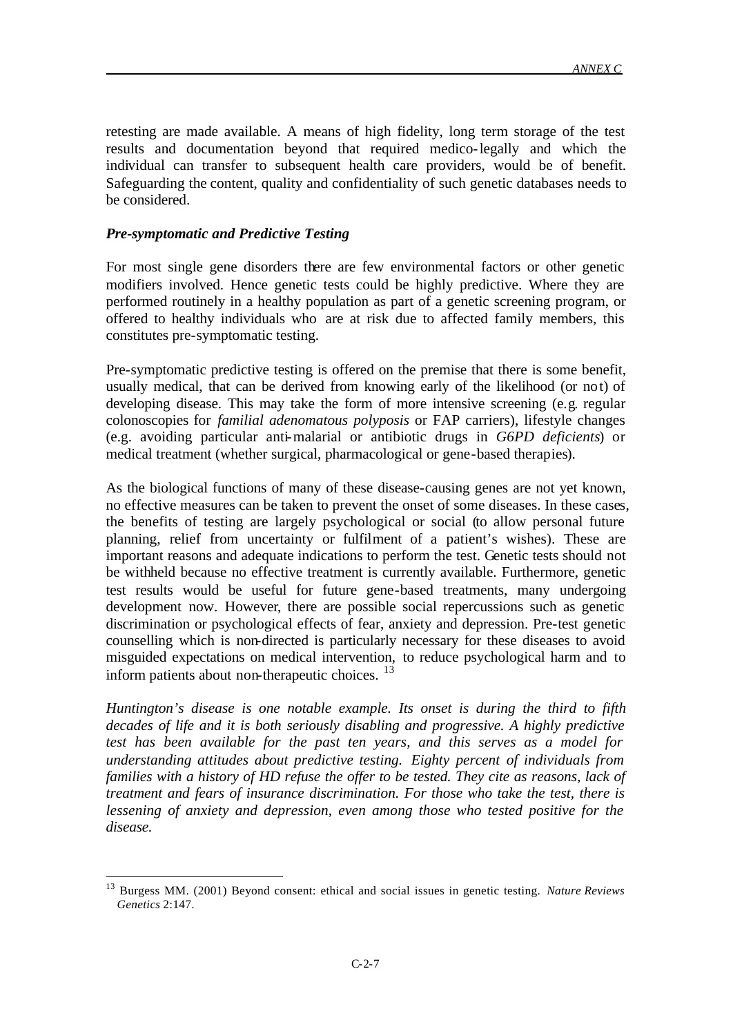retesting are made available. A means of high fidelity, long term storage of the test results and documentation beyond that required medico-legally and which the individual can transfer to subsequent health care providers, would be of benefit. Safeguarding the content, quality and confidentiality of such genetic databases needs to be considered.

### *Pre-symptomatic and Predictive Testing*

l

For most single gene disorders there are few environmental factors or other genetic modifiers involved. Hence genetic tests could be highly predictive. Where they are performed routinely in a healthy population as part of a genetic screening program, or offered to healthy individuals who are at risk due to affected family members, this constitutes pre-symptomatic testing.

Pre-symptomatic predictive testing is offered on the premise that there is some benefit, usually medical, that can be derived from knowing early of the likelihood (or not) of developing disease. This may take the form of more intensive screening (e.g. regular colonoscopies for *familial adenomatous polyposis* or FAP carriers), lifestyle changes (e.g. avoiding particular anti-malarial or antibiotic drugs in *G6PD deficients*) or medical treatment (whether surgical, pharmacological or gene-based therapies).

As the biological functions of many of these disease-causing genes are not yet known, no effective measures can be taken to prevent the onset of some diseases. In these cases, the benefits of testing are largely psychological or social (to allow personal future planning, relief from uncertainty or fulfilment of a patient's wishes). These are important reasons and adequate indications to perform the test. Genetic tests should not be withheld because no effective treatment is currently available. Furthermore, genetic test results would be useful for future gene-based treatments, many undergoing development now. However, there are possible social repercussions such as genetic discrimination or psychological effects of fear, anxiety and depression. Pre-test genetic counselling which is non-directed is particularly necessary for these diseases to avoid misguided expectations on medical intervention, to reduce psychological harm and to inform patients about non-therapeutic choices.  $^{13}$ 

*Huntington's disease is one notable example. Its onset is during the third to fifth decades of life and it is both seriously disabling and progressive. A highly predictive test has been available for the past ten years, and this serves as a model for understanding attitudes about predictive testing. Eighty percent of individuals from families with a history of HD refuse the offer to be tested. They cite as reasons, lack of treatment and fears of insurance discrimination. For those who take the test, there is lessening of anxiety and depression, even among those who tested positive for the disease.* 

<sup>13</sup> Burgess MM. (2001) Beyond consent: ethical and social issues in genetic testing. *Nature Reviews Genetics* 2:147.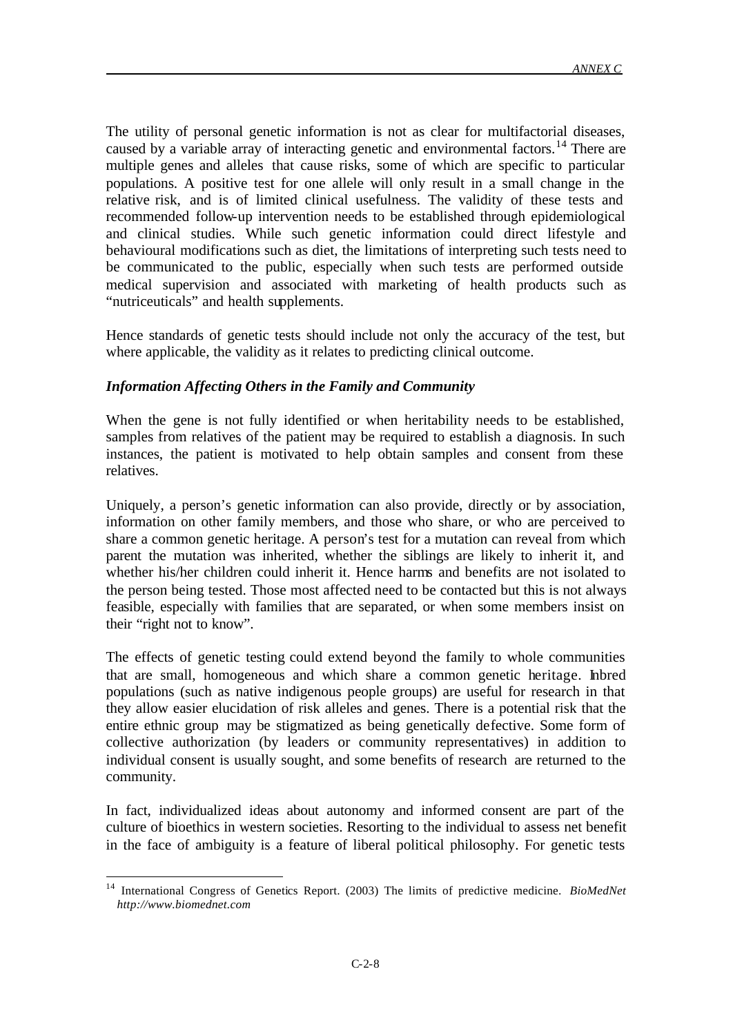The utility of personal genetic information is not as clear for multifactorial diseases, caused by a variable array of interacting genetic and environmental factors.<sup>14</sup> There are multiple genes and alleles that cause risks, some of which are specific to particular populations. A positive test for one allele will only result in a small change in the relative risk, and is of limited clinical usefulness. The validity of these tests and recommended follow-up intervention needs to be established through epidemiological and clinical studies. While such genetic information could direct lifestyle and behavioural modifications such as diet, the limitations of interpreting such tests need to be communicated to the public, especially when such tests are performed outside medical supervision and associated with marketing of health products such as "nutriceuticals" and health supplements.

Hence standards of genetic tests should include not only the accuracy of the test, but where applicable, the validity as it relates to predicting clinical outcome.

### *Information Affecting Others in the Family and Community*

When the gene is not fully identified or when heritability needs to be established, samples from relatives of the patient may be required to establish a diagnosis. In such instances, the patient is motivated to help obtain samples and consent from these relatives.

Uniquely, a person's genetic information can also provide, directly or by association, information on other family members, and those who share, or who are perceived to share a common genetic heritage. A person's test for a mutation can reveal from which parent the mutation was inherited, whether the siblings are likely to inherit it, and whether his/her children could inherit it. Hence harms and benefits are not isolated to the person being tested. Those most affected need to be contacted but this is not always feasible, especially with families that are separated, or when some members insist on their "right not to know".

The effects of genetic testing could extend beyond the family to whole communities that are small, homogeneous and which share a common genetic heritage. Inbred populations (such as native indigenous people groups) are useful for research in that they allow easier elucidation of risk alleles and genes. There is a potential risk that the entire ethnic group may be stigmatized as being genetically defective. Some form of collective authorization (by leaders or community representatives) in addition to individual consent is usually sought, and some benefits of research are returned to the community.

In fact, individualized ideas about autonomy and informed consent are part of the culture of bioethics in western societies. Resorting to the individual to assess net benefit in the face of ambiguity is a feature of liberal political philosophy. For genetic tests

<sup>14</sup> International Congress of Genetics Report. (2003) The limits of predictive medicine. *BioMedNet http://www.biomednet.com*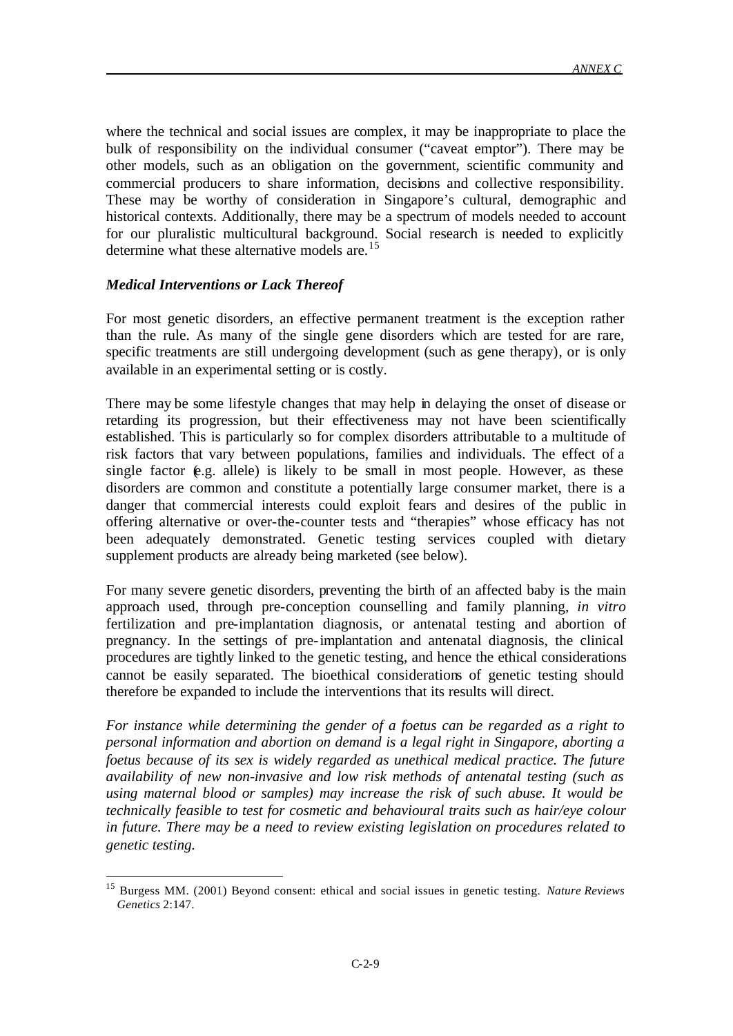where the technical and social issues are complex, it may be inappropriate to place the bulk of responsibility on the individual consumer ("caveat emptor"). There may be other models, such as an obligation on the government, scientific community and commercial producers to share information, decisions and collective responsibility. These may be worthy of consideration in Singapore's cultural, demographic and historical contexts. Additionally, there may be a spectrum of models needed to account for our pluralistic multicultural background. Social research is needed to explicitly determine what these alternative models are.<sup>15</sup>

# *Medical Interventions or Lack Thereof*

l

For most genetic disorders, an effective permanent treatment is the exception rather than the rule. As many of the single gene disorders which are tested for are rare, specific treatments are still undergoing development (such as gene therapy), or is only available in an experimental setting or is costly.

There may be some lifestyle changes that may help in delaying the onset of disease or retarding its progression, but their effectiveness may not have been scientifically established. This is particularly so for complex disorders attributable to a multitude of risk factors that vary between populations, families and individuals. The effect of a single factor  $(e.g.$  allele) is likely to be small in most people. However, as these disorders are common and constitute a potentially large consumer market, there is a danger that commercial interests could exploit fears and desires of the public in offering alternative or over-the-counter tests and "therapies" whose efficacy has not been adequately demonstrated. Genetic testing services coupled with dietary supplement products are already being marketed (see below).

For many severe genetic disorders, preventing the birth of an affected baby is the main approach used, through pre-conception counselling and family planning, *in vitro* fertilization and pre-implantation diagnosis, or antenatal testing and abortion of pregnancy. In the settings of pre-implantation and antenatal diagnosis, the clinical procedures are tightly linked to the genetic testing, and hence the ethical considerations cannot be easily separated. The bioethical considerations of genetic testing should therefore be expanded to include the interventions that its results will direct.

*For instance while determining the gender of a foetus can be regarded as a right to personal information and abortion on demand is a legal right in Singapore, aborting a foetus because of its sex is widely regarded as unethical medical practice. The future availability of new non-invasive and low risk methods of antenatal testing (such as using maternal blood or samples) may increase the risk of such abuse. It would be technically feasible to test for cosmetic and behavioural traits such as hair/eye colour in future. There may be a need to review existing legislation on procedures related to genetic testing.*

<sup>15</sup> Burgess MM. (2001) Beyond consent: ethical and social issues in genetic testing. *Nature Reviews Genetics* 2:147.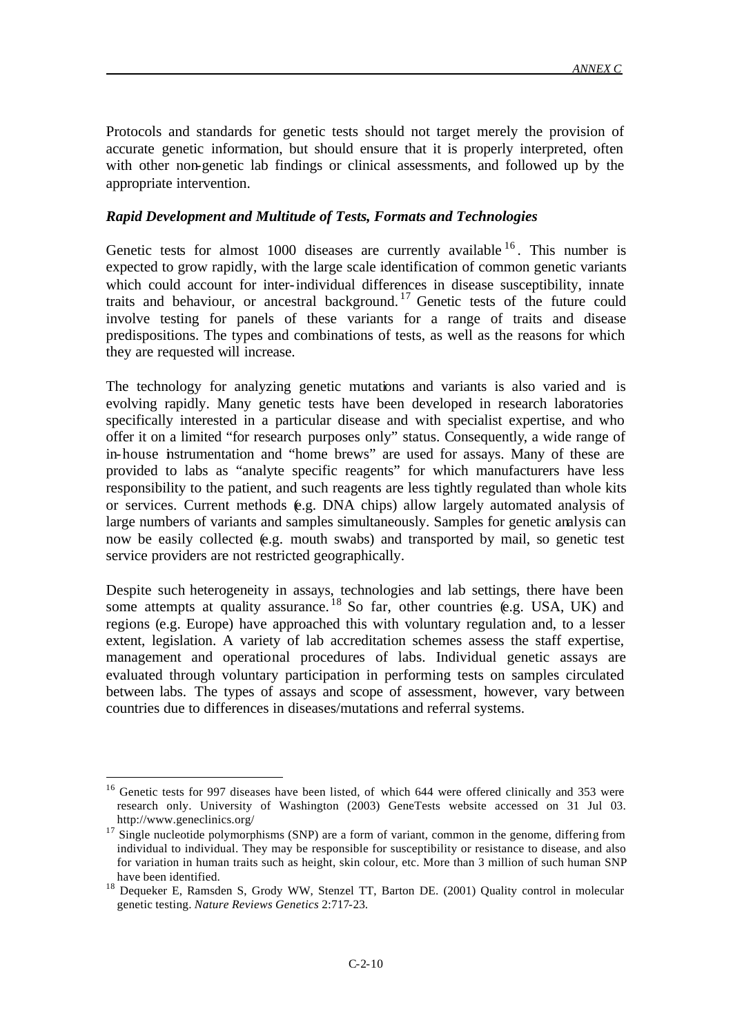Protocols and standards for genetic tests should not target merely the provision of accurate genetic information, but should ensure that it is properly interpreted, often with other non-genetic lab findings or clinical assessments, and followed up by the appropriate intervention.

### *Rapid Development and Multitude of Tests, Formats and Technologies*

Genetic tests for almost 1000 diseases are currently available  $16$ . This number is expected to grow rapidly, with the large scale identification of common genetic variants which could account for inter-individual differences in disease susceptibility, innate traits and behaviour, or ancestral background. <sup>17</sup> Genetic tests of the future could involve testing for panels of these variants for a range of traits and disease predispositions. The types and combinations of tests, as well as the reasons for which they are requested will increase.

The technology for analyzing genetic mutations and variants is also varied and is evolving rapidly. Many genetic tests have been developed in research laboratories specifically interested in a particular disease and with specialist expertise, and who offer it on a limited "for research purposes only" status. Consequently, a wide range of in-house instrumentation and "home brews" are used for assays. Many of these are provided to labs as "analyte specific reagents" for which manufacturers have less responsibility to the patient, and such reagents are less tightly regulated than whole kits or services. Current methods (e.g. DNA chips) allow largely automated analysis of large numbers of variants and samples simultaneously. Samples for genetic analysis can now be easily collected (e.g. mouth swabs) and transported by mail, so genetic test service providers are not restricted geographically.

Despite such heterogeneity in assays, technologies and lab settings, there have been some attempts at quality assurance.  $^{18}$  So far, other countries (e.g. USA, UK) and regions (e.g. Europe) have approached this with voluntary regulation and, to a lesser extent, legislation. A variety of lab accreditation schemes assess the staff expertise, management and operational procedures of labs. Individual genetic assays are evaluated through voluntary participation in performing tests on samples circulated between labs. The types of assays and scope of assessment, however, vary between countries due to differences in diseases/mutations and referral systems.

<sup>&</sup>lt;sup>16</sup> Genetic tests for 997 diseases have been listed, of which 644 were offered clinically and 353 were research only. University of Washington (2003) GeneTests website accessed on 31 Jul 03. http://www.geneclinics.org/

<sup>&</sup>lt;sup>17</sup> Single nucleotide polymorphisms (SNP) are a form of variant, common in the genome, differing from individual to individual. They may be responsible for susceptibility or resistance to disease, and also for variation in human traits such as height, skin colour, etc. More than 3 million of such human SNP have been identified.

<sup>&</sup>lt;sup>18</sup> Dequeker E, Ramsden S, Grody WW, Stenzel TT, Barton DE. (2001) Quality control in molecular genetic testing. *Nature Reviews Genetics* 2:717-23.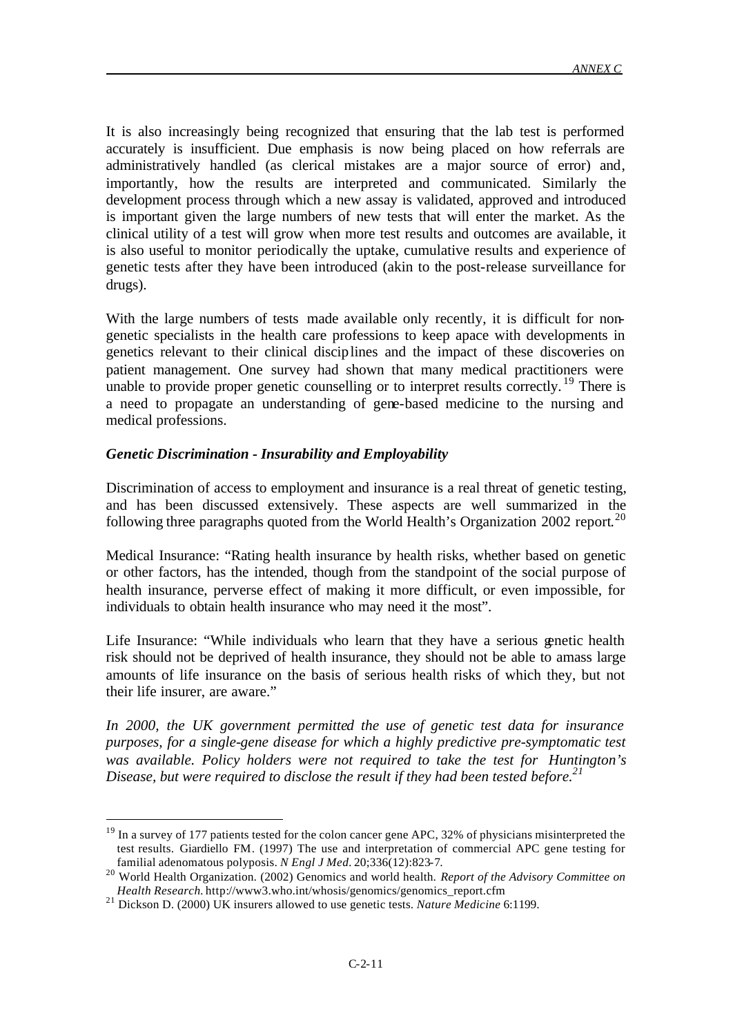It is also increasingly being recognized that ensuring that the lab test is performed accurately is insufficient. Due emphasis is now being placed on how referrals are administratively handled (as clerical mistakes are a major source of error) and, importantly, how the results are interpreted and communicated. Similarly the development process through which a new assay is validated, approved and introduced is important given the large numbers of new tests that will enter the market. As the clinical utility of a test will grow when more test results and outcomes are available, it is also useful to monitor periodically the uptake, cumulative results and experience of genetic tests after they have been introduced (akin to the post-release surveillance for drugs).

With the large numbers of tests made available only recently, it is difficult for nongenetic specialists in the health care professions to keep apace with developments in genetics relevant to their clinical disciplines and the impact of these discoveries on patient management. One survey had shown that many medical practitioners were unable to provide proper genetic counselling or to interpret results correctly.<sup>19</sup> There is a need to propagate an understanding of gene-based medicine to the nursing and medical professions.

### *Genetic Discrimination - Insurability and Employability*

Discrimination of access to employment and insurance is a real threat of genetic testing, and has been discussed extensively. These aspects are well summarized in the following three paragraphs quoted from the World Health's Organization 2002 report.<sup>20</sup>

Medical Insurance: "Rating health insurance by health risks, whether based on genetic or other factors, has the intended, though from the standpoint of the social purpose of health insurance, perverse effect of making it more difficult, or even impossible, for individuals to obtain health insurance who may need it the most".

Life Insurance: "While individuals who learn that they have a serious genetic health risk should not be deprived of health insurance, they should not be able to amass large amounts of life insurance on the basis of serious health risks of which they, but not their life insurer, are aware."

*In 2000, the UK government permitted the use of genetic test data for insurance purposes, for a single-gene disease for which a highly predictive pre-symptomatic test was available. Policy holders were not required to take the test for Huntington's Disease, but were required to disclose the result if they had been tested before.<sup>21</sup>*

<sup>&</sup>lt;sup>19</sup> In a survey of 177 patients tested for the colon cancer gene APC, 32% of physicians misinterpreted the test results. Giardiello FM. (1997) The use and interpretation of commercial APC gene testing for familial adenomatous polyposis. *N Engl J Med.* 20;336(12):823-7.

<sup>20</sup> World Health Organization. (2002) Genomics and world health. *Report of the Advisory Committee on Health Research.* http://www3.who.int/whosis/genomics/genomics\_report.cfm

<sup>21</sup> Dickson D. (2000) UK insurers allowed to use genetic tests. *Nature Medicine* 6:1199.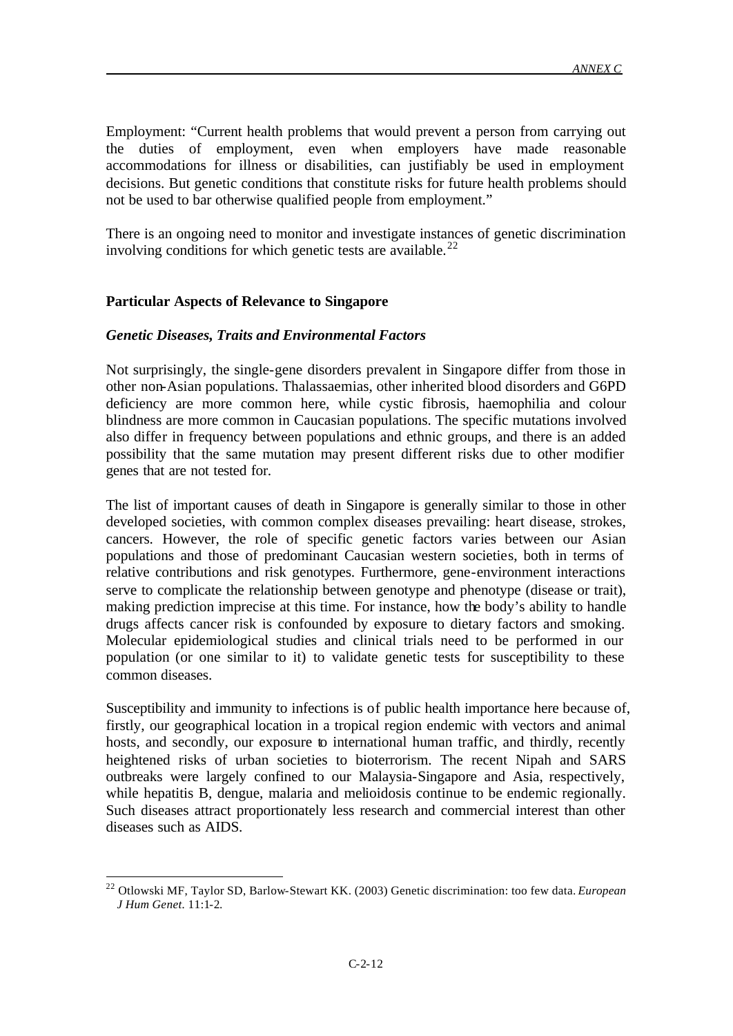Employment: "Current health problems that would prevent a person from carrying out the duties of employment, even when employers have made reasonable accommodations for illness or disabilities, can justifiably be used in employment decisions. But genetic conditions that constitute risks for future health problems should not be used to bar otherwise qualified people from employment."

There is an ongoing need to monitor and investigate instances of genetic discrimination involving conditions for which genetic tests are available.<sup>22</sup>

#### **Particular Aspects of Relevance to Singapore**

l

#### *Genetic Diseases, Traits and Environmental Factors*

Not surprisingly, the single-gene disorders prevalent in Singapore differ from those in other non-Asian populations. Thalassaemias, other inherited blood disorders and G6PD deficiency are more common here, while cystic fibrosis, haemophilia and colour blindness are more common in Caucasian populations. The specific mutations involved also differ in frequency between populations and ethnic groups, and there is an added possibility that the same mutation may present different risks due to other modifier genes that are not tested for.

The list of important causes of death in Singapore is generally similar to those in other developed societies, with common complex diseases prevailing: heart disease, strokes, cancers. However, the role of specific genetic factors varies between our Asian populations and those of predominant Caucasian western societies, both in terms of relative contributions and risk genotypes. Furthermore, gene-environment interactions serve to complicate the relationship between genotype and phenotype (disease or trait), making prediction imprecise at this time. For instance, how the body's ability to handle drugs affects cancer risk is confounded by exposure to dietary factors and smoking. Molecular epidemiological studies and clinical trials need to be performed in our population (or one similar to it) to validate genetic tests for susceptibility to these common diseases.

Susceptibility and immunity to infections is of public health importance here because of, firstly, our geographical location in a tropical region endemic with vectors and animal hosts, and secondly, our exposure to international human traffic, and thirdly, recently heightened risks of urban societies to bioterrorism. The recent Nipah and SARS outbreaks were largely confined to our Malaysia-Singapore and Asia, respectively, while hepatitis B, dengue, malaria and melioidosis continue to be endemic regionally. Such diseases attract proportionately less research and commercial interest than other diseases such as AIDS.

<sup>22</sup> Otlowski MF, Taylor SD, Barlow-Stewart KK. (2003) Genetic discrimination: too few data. *European J Hum Genet.* 11:1-2.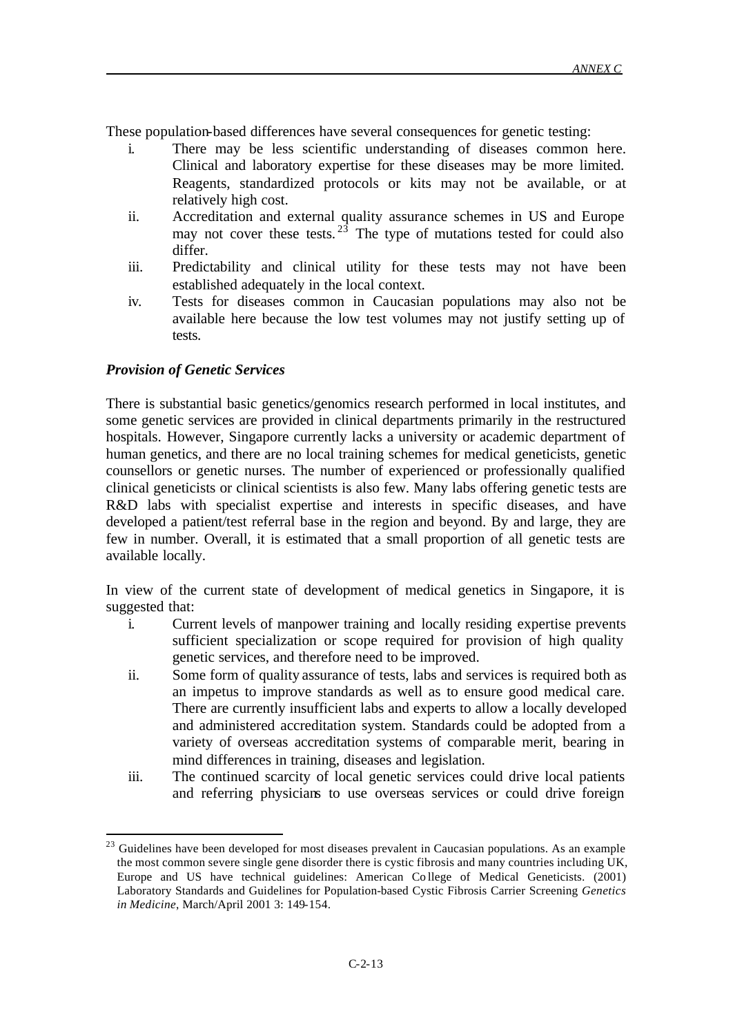These population-based differences have several consequences for genetic testing:

- i. There may be less scientific understanding of diseases common here. Clinical and laboratory expertise for these diseases may be more limited. Reagents, standardized protocols or kits may not be available, or at relatively high cost.
- ii. Accreditation and external quality assurance schemes in US and Europe may not cover these tests.  $2\overline{3}$  The type of mutations tested for could also differ.
- iii. Predictability and clinical utility for these tests may not have been established adequately in the local context.
- iv. Tests for diseases common in Caucasian populations may also not be available here because the low test volumes may not justify setting up of tests.

# *Provision of Genetic Services*

l

There is substantial basic genetics/genomics research performed in local institutes, and some genetic services are provided in clinical departments primarily in the restructured hospitals. However, Singapore currently lacks a university or academic department of human genetics, and there are no local training schemes for medical geneticists, genetic counsellors or genetic nurses. The number of experienced or professionally qualified clinical geneticists or clinical scientists is also few. Many labs offering genetic tests are R&D labs with specialist expertise and interests in specific diseases, and have developed a patient/test referral base in the region and beyond. By and large, they are few in number. Overall, it is estimated that a small proportion of all genetic tests are available locally.

In view of the current state of development of medical genetics in Singapore, it is suggested that:

- i. Current levels of manpower training and locally residing expertise prevents sufficient specialization or scope required for provision of high quality genetic services, and therefore need to be improved.
- ii. Some form of quality assurance of tests, labs and services is required both as an impetus to improve standards as well as to ensure good medical care. There are currently insufficient labs and experts to allow a locally developed and administered accreditation system. Standards could be adopted from a variety of overseas accreditation systems of comparable merit, bearing in mind differences in training, diseases and legislation.
- iii. The continued scarcity of local genetic services could drive local patients and referring physicians to use overseas services or could drive foreign

 $^{23}$  Guidelines have been developed for most diseases prevalent in Caucasian populations. As an example the most common severe single gene disorder there is cystic fibrosis and many countries including UK, Europe and US have technical guidelines: American Co llege of Medical Geneticists. (2001) Laboratory Standards and Guidelines for Population-based Cystic Fibrosis Carrier Screening *Genetics in Medicine*, March/April 2001 3: 149-154.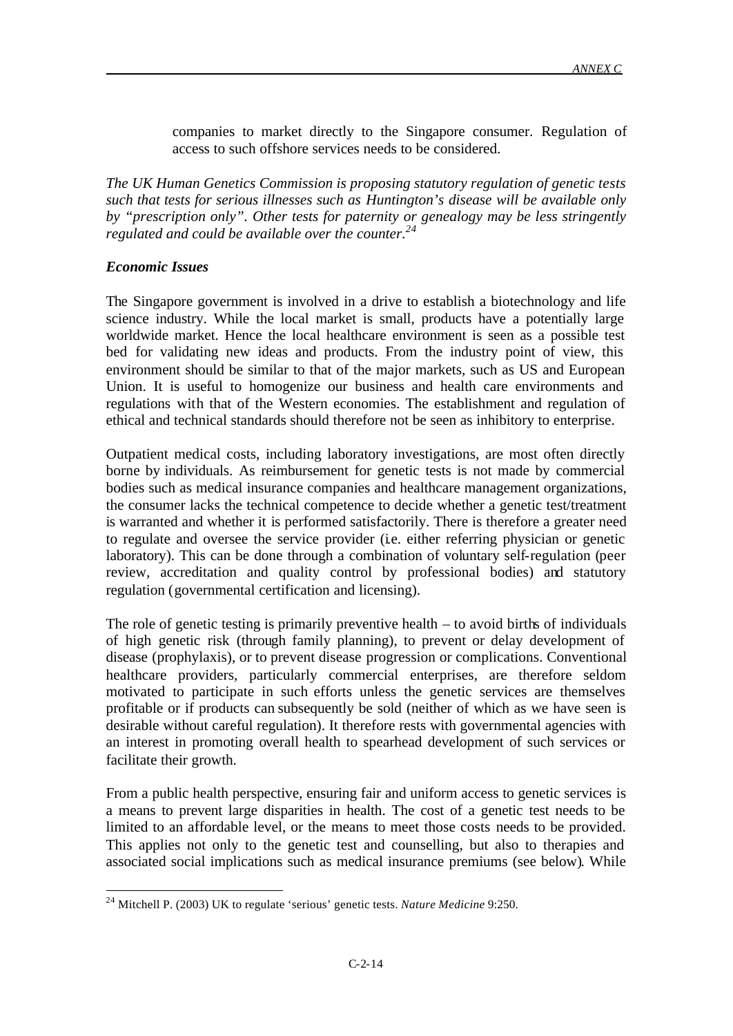companies to market directly to the Singapore consumer. Regulation of access to such offshore services needs to be considered.

*The UK Human Genetics Commission is proposing statutory regulation of genetic tests such that tests for serious illnesses such as Huntington's disease will be available only by "prescription only". Other tests for paternity or genealogy may be less stringently regulated and could be available over the counter.<sup>24</sup>*

# *Economic Issues*

l

The Singapore government is involved in a drive to establish a biotechnology and life science industry. While the local market is small, products have a potentially large worldwide market. Hence the local healthcare environment is seen as a possible test bed for validating new ideas and products. From the industry point of view, this environment should be similar to that of the major markets, such as US and European Union. It is useful to homogenize our business and health care environments and regulations with that of the Western economies. The establishment and regulation of ethical and technical standards should therefore not be seen as inhibitory to enterprise.

Outpatient medical costs, including laboratory investigations, are most often directly borne by individuals. As reimbursement for genetic tests is not made by commercial bodies such as medical insurance companies and healthcare management organizations, the consumer lacks the technical competence to decide whether a genetic test/treatment is warranted and whether it is performed satisfactorily. There is therefore a greater need to regulate and oversee the service provider (i.e. either referring physician or genetic laboratory). This can be done through a combination of voluntary self-regulation (peer review, accreditation and quality control by professional bodies) and statutory regulation (governmental certification and licensing).

The role of genetic testing is primarily preventive health – to avoid births of individuals of high genetic risk (through family planning), to prevent or delay development of disease (prophylaxis), or to prevent disease progression or complications. Conventional healthcare providers, particularly commercial enterprises, are therefore seldom motivated to participate in such efforts unless the genetic services are themselves profitable or if products can subsequently be sold (neither of which as we have seen is desirable without careful regulation). It therefore rests with governmental agencies with an interest in promoting overall health to spearhead development of such services or facilitate their growth.

From a public health perspective, ensuring fair and uniform access to genetic services is a means to prevent large disparities in health. The cost of a genetic test needs to be limited to an affordable level, or the means to meet those costs needs to be provided. This applies not only to the genetic test and counselling, but also to therapies and associated social implications such as medical insurance premiums (see below). While

<sup>24</sup> Mitchell P. (2003) UK to regulate 'serious' genetic tests. *Nature Medicine* 9:250.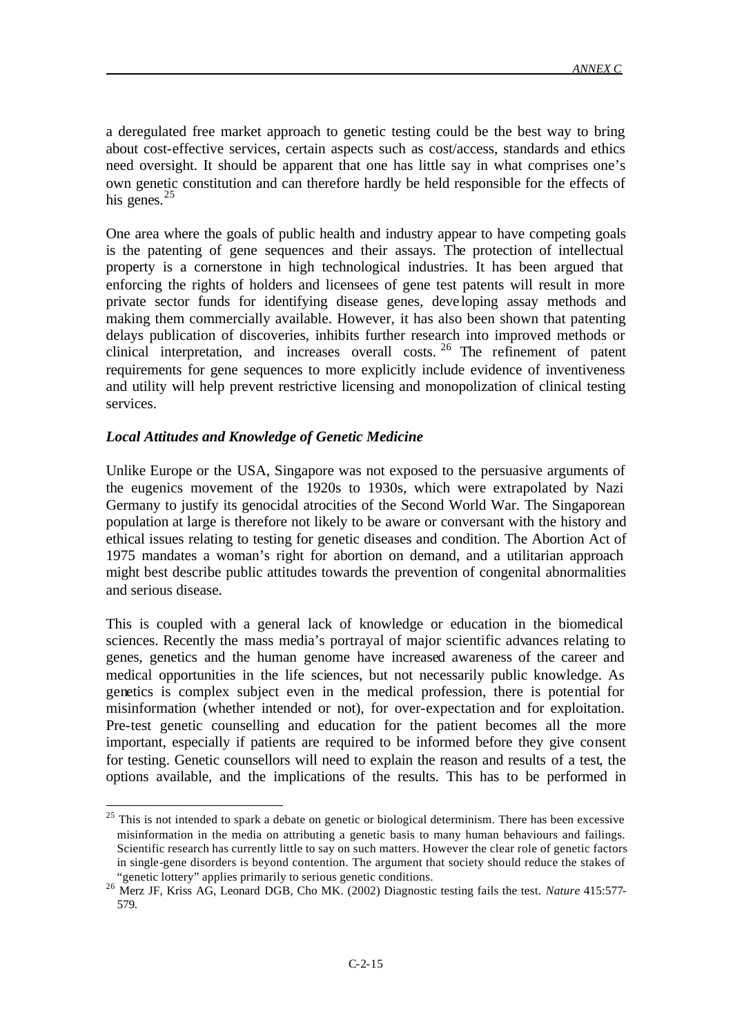a deregulated free market approach to genetic testing could be the best way to bring about cost-effective services, certain aspects such as cost/access, standards and ethics need oversight. It should be apparent that one has little say in what comprises one's own genetic constitution and can therefore hardly be held responsible for the effects of his genes. $25$ 

One area where the goals of public health and industry appear to have competing goals is the patenting of gene sequences and their assays. The protection of intellectual property is a cornerstone in high technological industries. It has been argued that enforcing the rights of holders and licensees of gene test patents will result in more private sector funds for identifying disease genes, deve loping assay methods and making them commercially available. However, it has also been shown that patenting delays publication of discoveries, inhibits further research into improved methods or clinical interpretation, and increases overall costs. <sup>26</sup> The refinement of patent requirements for gene sequences to more explicitly include evidence of inventiveness and utility will help prevent restrictive licensing and monopolization of clinical testing services.

### *Local Attitudes and Knowledge of Genetic Medicine*

l

Unlike Europe or the USA, Singapore was not exposed to the persuasive arguments of the eugenics movement of the 1920s to 1930s, which were extrapolated by Nazi Germany to justify its genocidal atrocities of the Second World War. The Singaporean population at large is therefore not likely to be aware or conversant with the history and ethical issues relating to testing for genetic diseases and condition. The Abortion Act of 1975 mandates a woman's right for abortion on demand, and a utilitarian approach might best describe public attitudes towards the prevention of congenital abnormalities and serious disease.

This is coupled with a general lack of knowledge or education in the biomedical sciences. Recently the mass media's portrayal of major scientific advances relating to genes, genetics and the human genome have increased awareness of the career and medical opportunities in the life sciences, but not necessarily public knowledge. As genetics is complex subject even in the medical profession, there is potential for misinformation (whether intended or not), for over-expectation and for exploitation. Pre-test genetic counselling and education for the patient becomes all the more important, especially if patients are required to be informed before they give consent for testing. Genetic counsellors will need to explain the reason and results of a test, the options available, and the implications of the results. This has to be performed in

 $25$  This is not intended to spark a debate on genetic or biological determinism. There has been excessive misinformation in the media on attributing a genetic basis to many human behaviours and failings. Scientific research has currently little to say on such matters. However the clear role of genetic factors in single-gene disorders is beyond contention. The argument that society should reduce the stakes of "genetic lottery" applies primarily to serious genetic conditions.

<sup>26</sup> Merz JF, Kriss AG, Leonard DGB, Cho MK. (2002) Diagnostic testing fails the test. *Nature* 415:577- 579.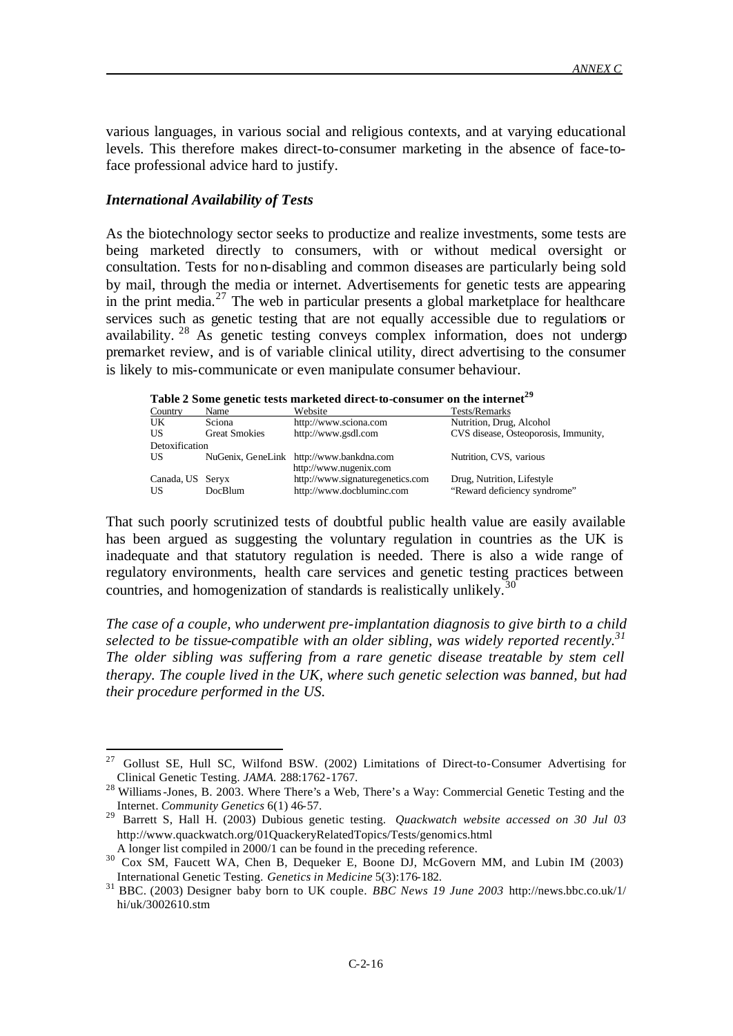various languages, in various social and religious contexts, and at varying educational levels. This therefore makes direct-to-consumer marketing in the absence of face-toface professional advice hard to justify.

### *International Availability of Tests*

l

As the biotechnology sector seeks to productize and realize investments, some tests are being marketed directly to consumers, with or without medical oversight or consultation. Tests for non-disabling and common diseases are particularly being sold by mail, through the media or internet. Advertisements for genetic tests are appearing in the print media. $^{27}$  The web in particular presents a global marketplace for healthcare services such as genetic testing that are not equally accessible due to regulations or availability. <sup>28</sup> As genetic testing conveys complex information, does not undergo premarket review, and is of variable clinical utility, direct advertising to the consumer is likely to mis-communicate or even manipulate consumer behaviour.

|  | Table 2 Some genetic tests marketed direct-to-consumer on the internet <sup>29</sup> |  |
|--|--------------------------------------------------------------------------------------|--|
|  |                                                                                      |  |

| Country          | Name                 | Website                                                            | Tests/Remarks                        |  |  |
|------------------|----------------------|--------------------------------------------------------------------|--------------------------------------|--|--|
| UK               | Sciona               | http://www.sciona.com                                              | Nutrition, Drug, Alcohol             |  |  |
| US               | <b>Great Smokies</b> | http://www.gsdl.com                                                | CVS disease, Osteoporosis, Immunity, |  |  |
| Detoxification   |                      |                                                                    |                                      |  |  |
| US               |                      | NuGenix, GeneLink http://www.bankdna.com<br>http://www.nugenix.com | Nutrition, CVS, various              |  |  |
| Canada, US Servx |                      | http://www.signaturegenetics.com                                   | Drug, Nutrition, Lifestyle           |  |  |
| US               | DocBlum              | http://www.docbluminc.com                                          | "Reward deficiency syndrome"         |  |  |

That such poorly scrutinized tests of doubtful public health value are easily available has been argued as suggesting the voluntary regulation in countries as the UK is inadequate and that statutory regulation is needed. There is also a wide range of regulatory environments, health care services and genetic testing practices between countries, and homogenization of standards is realistically unlikely.<sup>30</sup>

*The case of a couple, who underwent pre-implantation diagnosis to give birth to a child selected to be tissue-compatible with an older sibling, was widely reported recently. 31 The older sibling was suffering from a rare genetic disease treatable by stem cell therapy. The couple lived in the UK, where such genetic selection was banned, but had their procedure performed in the US.*

<sup>&</sup>lt;sup>27</sup> Gollust SE, Hull SC, Wilfond BSW. (2002) Limitations of Direct-to-Consumer Advertising for Clinical Genetic Testing. *JAMA.* 288:1762-1767.

<sup>&</sup>lt;sup>28</sup> Williams-Jones, B. 2003. Where There's a Web, There's a Way: Commercial Genetic Testing and the Internet. *Community Genetics* 6(1) 46-57.

<sup>&</sup>lt;sup>29</sup> Barrett S, Hall H. (2003) Dubious genetic testing. *Quackwatch website accessed on 30 Jul 03* http://www.quackwatch.org/01QuackeryRelatedTopics/Tests/genomics.html A longer list compiled in 2000/1 can be found in the preceding reference.

<sup>30</sup> Cox SM, Faucett WA, Chen B, Dequeker E, Boone DJ, McGovern MM, and Lubin IM (2003) International Genetic Testing. *Genetics in Medicine* 5(3):176-182.

<sup>31</sup> BBC. (2003) Designer baby born to UK couple. *BBC News 19 June 2003* http://news.bbc.co.uk/1/ hi/uk/3002610.stm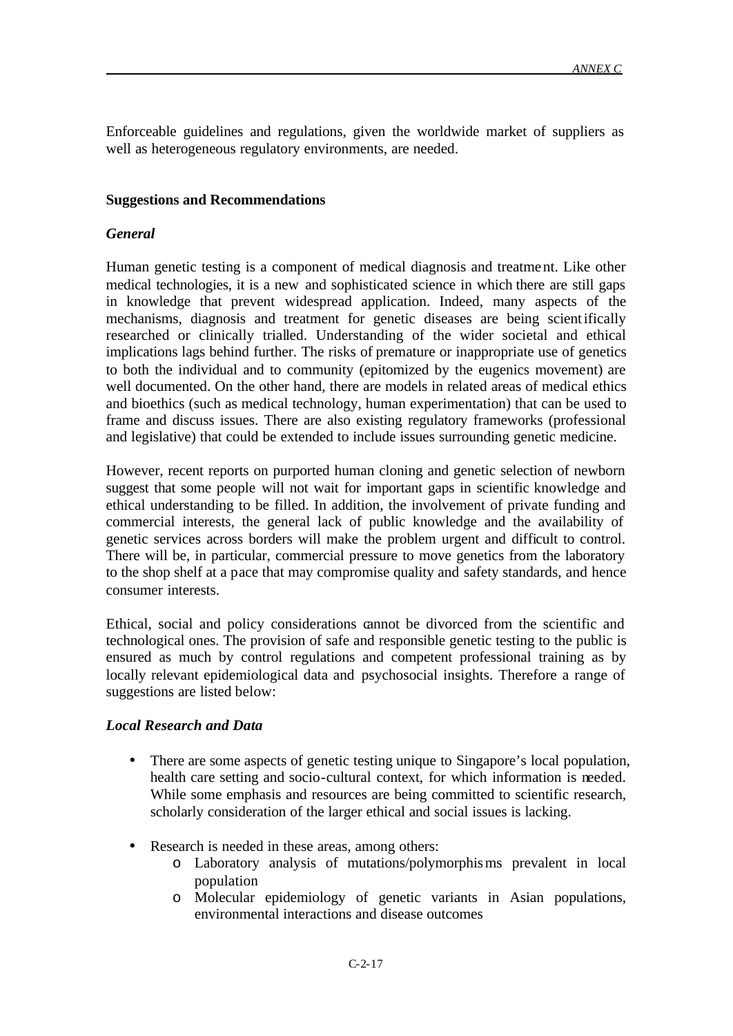Enforceable guidelines and regulations, given the worldwide market of suppliers as well as heterogeneous regulatory environments, are needed.

### **Suggestions and Recommendations**

## *General*

Human genetic testing is a component of medical diagnosis and treatment. Like other medical technologies, it is a new and sophisticated science in which there are still gaps in knowledge that prevent widespread application. Indeed, many aspects of the mechanisms, diagnosis and treatment for genetic diseases are being scientifically researched or clinically trialled. Understanding of the wider societal and ethical implications lags behind further. The risks of premature or inappropriate use of genetics to both the individual and to community (epitomized by the eugenics movement) are well documented. On the other hand, there are models in related areas of medical ethics and bioethics (such as medical technology, human experimentation) that can be used to frame and discuss issues. There are also existing regulatory frameworks (professional and legislative) that could be extended to include issues surrounding genetic medicine.

However, recent reports on purported human cloning and genetic selection of newborn suggest that some people will not wait for important gaps in scientific knowledge and ethical understanding to be filled. In addition, the involvement of private funding and commercial interests, the general lack of public knowledge and the availability of genetic services across borders will make the problem urgent and difficult to control. There will be, in particular, commercial pressure to move genetics from the laboratory to the shop shelf at a pace that may compromise quality and safety standards, and hence consumer interests.

Ethical, social and policy considerations cannot be divorced from the scientific and technological ones. The provision of safe and responsible genetic testing to the public is ensured as much by control regulations and competent professional training as by locally relevant epidemiological data and psychosocial insights. Therefore a range of suggestions are listed below:

# *Local Research and Data*

- There are some aspects of genetic testing unique to Singapore's local population, health care setting and socio-cultural context, for which information is needed. While some emphasis and resources are being committed to scientific research, scholarly consideration of the larger ethical and social issues is lacking.
- Research is needed in these areas, among others:
	- o Laboratory analysis of mutations/polymorphisms prevalent in local population
	- o Molecular epidemiology of genetic variants in Asian populations, environmental interactions and disease outcomes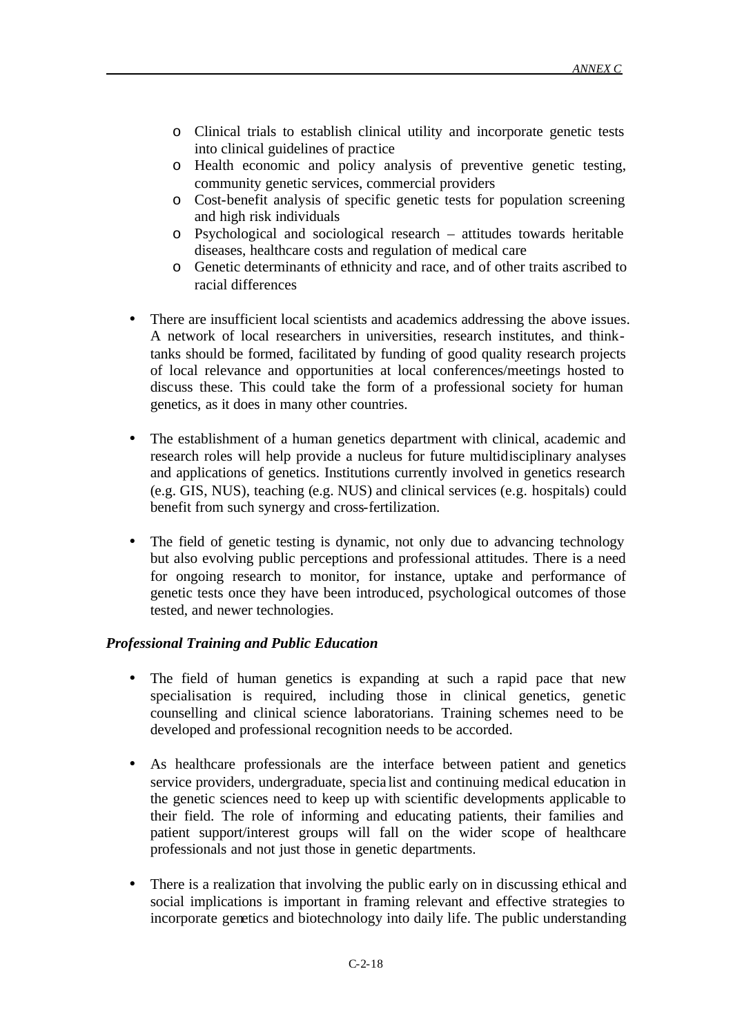- o Clinical trials to establish clinical utility and incorporate genetic tests into clinical guidelines of practice
- o Health economic and policy analysis of preventive genetic testing, community genetic services, commercial providers
- o Cost-benefit analysis of specific genetic tests for population screening and high risk individuals
- o Psychological and sociological research attitudes towards heritable diseases, healthcare costs and regulation of medical care
- o Genetic determinants of ethnicity and race, and of other traits ascribed to racial differences
- There are insufficient local scientists and academics addressing the above issues. A network of local researchers in universities, research institutes, and thinktanks should be formed, facilitated by funding of good quality research projects of local relevance and opportunities at local conferences/meetings hosted to discuss these. This could take the form of a professional society for human genetics, as it does in many other countries.
- The establishment of a human genetics department with clinical, academic and research roles will help provide a nucleus for future multidisciplinary analyses and applications of genetics. Institutions currently involved in genetics research (e.g. GIS, NUS), teaching (e.g. NUS) and clinical services (e.g. hospitals) could benefit from such synergy and cross-fertilization.
- The field of genetic testing is dynamic, not only due to advancing technology but also evolving public perceptions and professional attitudes. There is a need for ongoing research to monitor, for instance, uptake and performance of genetic tests once they have been introduced, psychological outcomes of those tested, and newer technologies.

# *Professional Training and Public Education*

- The field of human genetics is expanding at such a rapid pace that new specialisation is required, including those in clinical genetics, genetic counselling and clinical science laboratorians. Training schemes need to be developed and professional recognition needs to be accorded.
- As healthcare professionals are the interface between patient and genetics service providers, undergraduate, specia list and continuing medical education in the genetic sciences need to keep up with scientific developments applicable to their field. The role of informing and educating patients, their families and patient support/interest groups will fall on the wider scope of healthcare professionals and not just those in genetic departments.
- There is a realization that involving the public early on in discussing ethical and social implications is important in framing relevant and effective strategies to incorporate genetics and biotechnology into daily life. The public understanding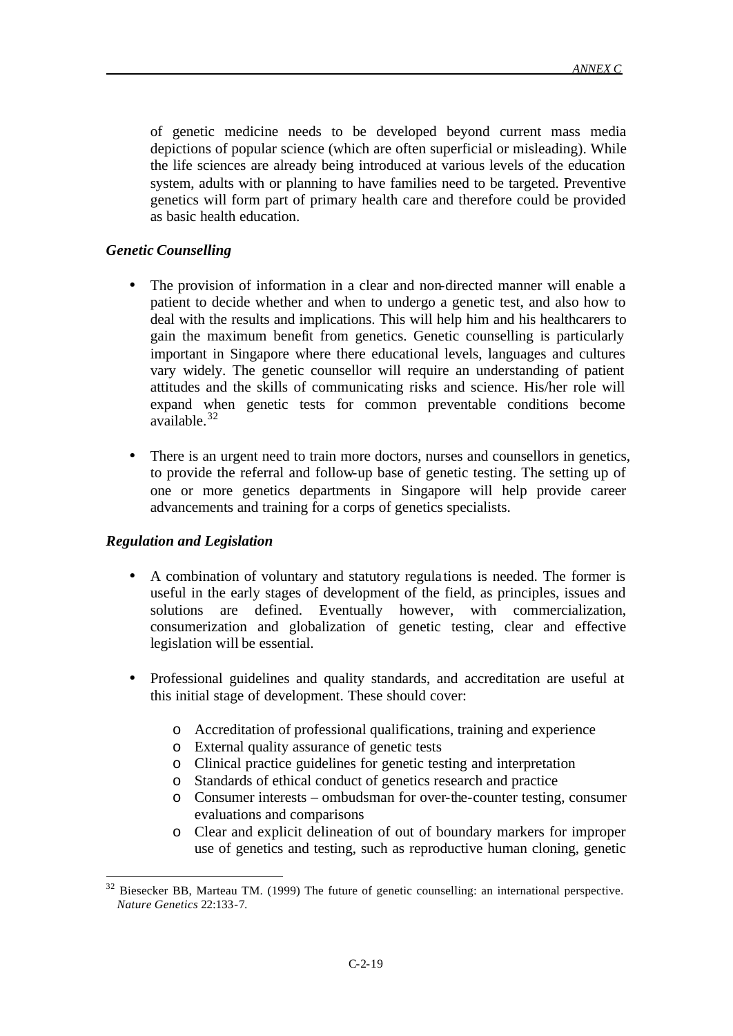of genetic medicine needs to be developed beyond current mass media depictions of popular science (which are often superficial or misleading). While the life sciences are already being introduced at various levels of the education system, adults with or planning to have families need to be targeted. Preventive genetics will form part of primary health care and therefore could be provided as basic health education.

## *Genetic Counselling*

- The provision of information in a clear and non-directed manner will enable a patient to decide whether and when to undergo a genetic test, and also how to deal with the results and implications. This will help him and his healthcarers to gain the maximum benefit from genetics. Genetic counselling is particularly important in Singapore where there educational levels, languages and cultures vary widely. The genetic counsellor will require an understanding of patient attitudes and the skills of communicating risks and science. His/her role will expand when genetic tests for common preventable conditions become available.<sup>32</sup>
- There is an urgent need to train more doctors, nurses and counsellors in genetics, to provide the referral and follow-up base of genetic testing. The setting up of one or more genetics departments in Singapore will help provide career advancements and training for a corps of genetics specialists.

#### *Regulation and Legislation*

- A combination of voluntary and statutory regula tions is needed. The former is useful in the early stages of development of the field, as principles, issues and solutions are defined. Eventually however, with commercialization, consumerization and globalization of genetic testing, clear and effective legislation will be essential.
- Professional guidelines and quality standards, and accreditation are useful at this initial stage of development. These should cover:
	- o Accreditation of professional qualifications, training and experience
	- o External quality assurance of genetic tests
	- o Clinical practice guidelines for genetic testing and interpretation
	- o Standards of ethical conduct of genetics research and practice
	- o Consumer interests ombudsman for over-the-counter testing, consumer evaluations and comparisons
	- o Clear and explicit delineation of out of boundary markers for improper use of genetics and testing, such as reproductive human cloning, genetic

 $32$  Biesecker BB, Marteau TM. (1999) The future of genetic counselling: an international perspective. *Nature Genetics* 22:133-7.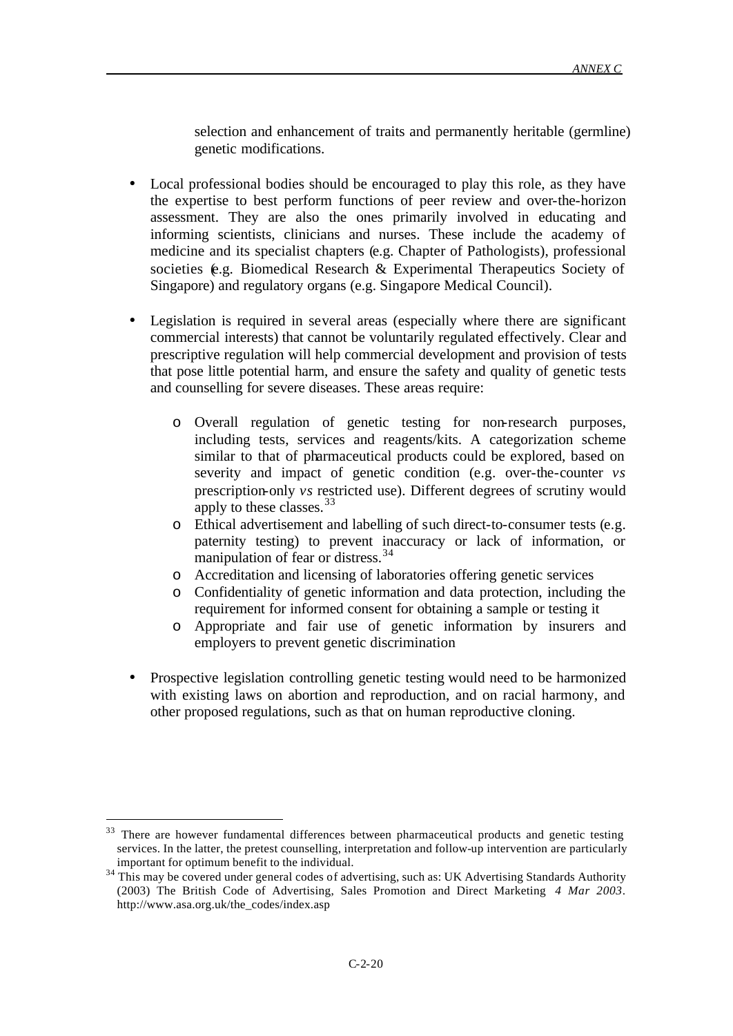selection and enhancement of traits and permanently heritable (germline) genetic modifications.

- Local professional bodies should be encouraged to play this role, as they have the expertise to best perform functions of peer review and over-the-horizon assessment. They are also the ones primarily involved in educating and informing scientists, clinicians and nurses. These include the academy of medicine and its specialist chapters (e.g. Chapter of Pathologists), professional societies (e.g. Biomedical Research & Experimental Therapeutics Society of Singapore) and regulatory organs (e.g. Singapore Medical Council).
- Legislation is required in several areas (especially where there are significant commercial interests) that cannot be voluntarily regulated effectively. Clear and prescriptive regulation will help commercial development and provision of tests that pose little potential harm, and ensure the safety and quality of genetic tests and counselling for severe diseases. These areas require:
	- o Overall regulation of genetic testing for non-research purposes, including tests, services and reagents/kits. A categorization scheme similar to that of pharmaceutical products could be explored, based on severity and impact of genetic condition (e.g. over-the-counter *vs* prescription-only *vs* restricted use). Different degrees of scrutiny would apply to these classes.<sup>33</sup>
	- o Ethical advertisement and labelling of such direct-to-consumer tests (e.g. paternity testing) to prevent inaccuracy or lack of information, or manipulation of fear or distress.<sup>34</sup>
	- o Accreditation and licensing of laboratories offering genetic services
	- o Confidentiality of genetic information and data protection, including the requirement for informed consent for obtaining a sample or testing it
	- o Appropriate and fair use of genetic information by insurers and employers to prevent genetic discrimination
- Prospective legislation controlling genetic testing would need to be harmonized with existing laws on abortion and reproduction, and on racial harmony, and other proposed regulations, such as that on human reproductive cloning.

<sup>&</sup>lt;sup>33</sup> There are however fundamental differences between pharmaceutical products and genetic testing services. In the latter, the pretest counselling, interpretation and follow-up intervention are particularly important for optimum benefit to the individual.

<sup>&</sup>lt;sup>34</sup> This may be covered under general codes of advertising, such as: UK Advertising Standards Authority (2003) The British Code of Advertising, Sales Promotion and Direct Marketing *4 Mar 2003*. http://www.asa.org.uk/the\_codes/index.asp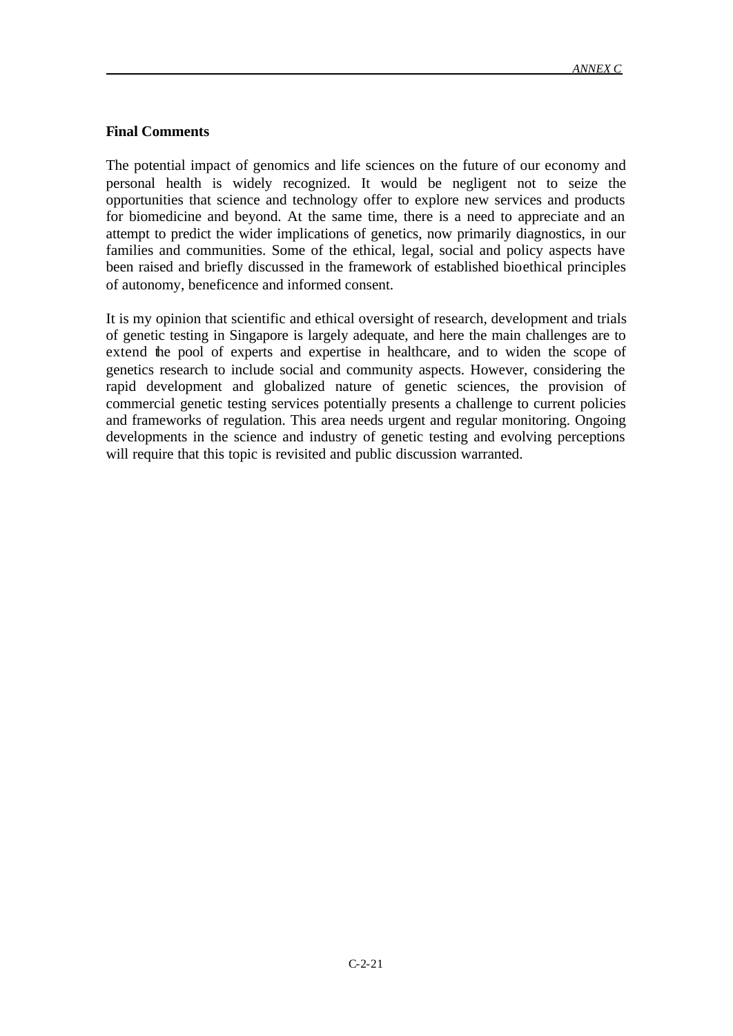### **Final Comments**

The potential impact of genomics and life sciences on the future of our economy and personal health is widely recognized. It would be negligent not to seize the opportunities that science and technology offer to explore new services and products for biomedicine and beyond. At the same time, there is a need to appreciate and an attempt to predict the wider implications of genetics, now primarily diagnostics, in our families and communities. Some of the ethical, legal, social and policy aspects have been raised and briefly discussed in the framework of established bioethical principles of autonomy, beneficence and informed consent.

It is my opinion that scientific and ethical oversight of research, development and trials of genetic testing in Singapore is largely adequate, and here the main challenges are to extend the pool of experts and expertise in healthcare, and to widen the scope of genetics research to include social and community aspects. However, considering the rapid development and globalized nature of genetic sciences, the provision of commercial genetic testing services potentially presents a challenge to current policies and frameworks of regulation. This area needs urgent and regular monitoring. Ongoing developments in the science and industry of genetic testing and evolving perceptions will require that this topic is revisited and public discussion warranted.